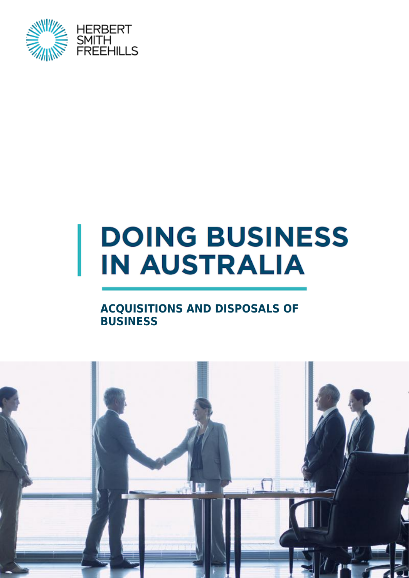

# **DOING BUSINESS IN AUSTRALIA**

#### **ACQUISITIONS AND DISPOSALS OF BUSINESS**

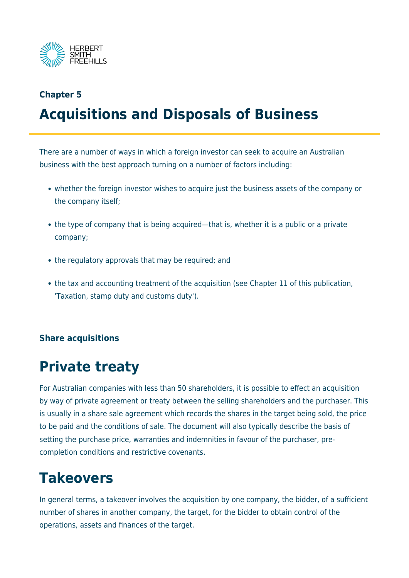

## **Chapter 5 Acquisitions and Disposals of Business**

There are a number of ways in which a foreign investor can seek to acquire an Australian business with the best approach turning on a number of factors including:

- whether the foreign investor wishes to acquire just the business assets of the company or the company itself;
- the type of company that is being acquired—that is, whether it is a public or a private company;
- the regulatory approvals that may be required; and
- the tax and accounting treatment of the acquisition (see Chapter 11 of this publication, 'Taxation, stamp duty and customs duty').

#### **Share acquisitions**

## **Private treaty**

For Australian companies with less than 50 shareholders, it is possible to effect an acquisition by way of private agreement or treaty between the selling shareholders and the purchaser. This is usually in a share sale agreement which records the shares in the target being sold, the price to be paid and the conditions of sale. The document will also typically describe the basis of setting the purchase price, warranties and indemnities in favour of the purchaser, precompletion conditions and restrictive covenants.

## **Takeovers**

In general terms, a takeover involves the acquisition by one company, the bidder, of a sufficient number of shares in another company, the target, for the bidder to obtain control of the operations, assets and finances of the target.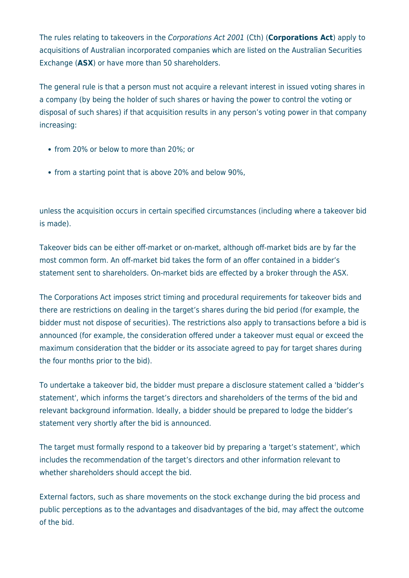The rules relating to takeovers in the Corporations Act 2001 (Cth) (**Corporations Act**) apply to acquisitions of Australian incorporated companies which are listed on the Australian Securities Exchange (**ASX**) or have more than 50 shareholders.

The general rule is that a person must not acquire a relevant interest in issued voting shares in a company (by being the holder of such shares or having the power to control the voting or disposal of such shares) if that acquisition results in any person's voting power in that company increasing:

- from 20% or below to more than 20%; or
- from a starting point that is above 20% and below 90%,

unless the acquisition occurs in certain specified circumstances (including where a takeover bid is made).

Takeover bids can be either off-market or on-market, although off-market bids are by far the most common form. An off-market bid takes the form of an offer contained in a bidder's statement sent to shareholders. On-market bids are effected by a broker through the ASX.

The Corporations Act imposes strict timing and procedural requirements for takeover bids and there are restrictions on dealing in the target's shares during the bid period (for example, the bidder must not dispose of securities). The restrictions also apply to transactions before a bid is announced (for example, the consideration offered under a takeover must equal or exceed the maximum consideration that the bidder or its associate agreed to pay for target shares during the four months prior to the bid).

To undertake a takeover bid, the bidder must prepare a disclosure statement called a 'bidder's statement', which informs the target's directors and shareholders of the terms of the bid and relevant background information. Ideally, a bidder should be prepared to lodge the bidder's statement very shortly after the bid is announced.

The target must formally respond to a takeover bid by preparing a 'target's statement', which includes the recommendation of the target's directors and other information relevant to whether shareholders should accept the bid.

External factors, such as share movements on the stock exchange during the bid process and public perceptions as to the advantages and disadvantages of the bid, may affect the outcome of the bid.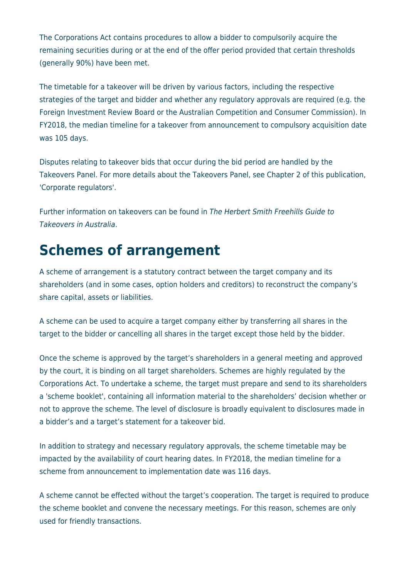The Corporations Act contains procedures to allow a bidder to compulsorily acquire the remaining securities during or at the end of the offer period provided that certain thresholds (generally 90%) have been met.

The timetable for a takeover will be driven by various factors, including the respective strategies of the target and bidder and whether any regulatory approvals are required (e.g. the Foreign Investment Review Board or the Australian Competition and Consumer Commission). In FY2018, the median timeline for a takeover from announcement to compulsory acquisition date was 105 days.

Disputes relating to takeover bids that occur during the bid period are handled by the Takeovers Panel. For more details about the Takeovers Panel, see Chapter 2 of this publication, 'Corporate regulators'.

Further information on takeovers can be found in The Herbert Smith Freehills Guide to Takeovers in Australia.

#### **Schemes of arrangement**

A scheme of arrangement is a statutory contract between the target company and its shareholders (and in some cases, option holders and creditors) to reconstruct the company's share capital, assets or liabilities.

A scheme can be used to acquire a target company either by transferring all shares in the target to the bidder or cancelling all shares in the target except those held by the bidder.

Once the scheme is approved by the target's shareholders in a general meeting and approved by the court, it is binding on all target shareholders. Schemes are highly regulated by the Corporations Act. To undertake a scheme, the target must prepare and send to its shareholders a 'scheme booklet', containing all information material to the shareholders' decision whether or not to approve the scheme. The level of disclosure is broadly equivalent to disclosures made in a bidder's and a target's statement for a takeover bid.

In addition to strategy and necessary regulatory approvals, the scheme timetable may be impacted by the availability of court hearing dates. In FY2018, the median timeline for a scheme from announcement to implementation date was 116 days.

A scheme cannot be effected without the target's cooperation. The target is required to produce the scheme booklet and convene the necessary meetings. For this reason, schemes are only used for friendly transactions.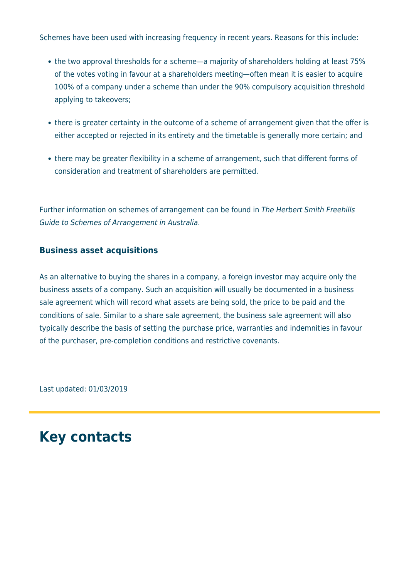Schemes have been used with increasing frequency in recent years. Reasons for this include:

- the two approval thresholds for a scheme—a majority of shareholders holding at least 75% of the votes voting in favour at a shareholders meeting—often mean it is easier to acquire 100% of a company under a scheme than under the 90% compulsory acquisition threshold applying to takeovers;
- there is greater certainty in the outcome of a scheme of arrangement given that the offer is either accepted or rejected in its entirety and the timetable is generally more certain; and
- there may be greater flexibility in a scheme of arrangement, such that different forms of consideration and treatment of shareholders are permitted.

Further information on schemes of arrangement can be found in The Herbert Smith Freehills Guide to Schemes of Arrangement in Australia.

#### **Business asset acquisitions**

As an alternative to buying the shares in a company, a foreign investor may acquire only the business assets of a company. Such an acquisition will usually be documented in a business sale agreement which will record what assets are being sold, the price to be paid and the conditions of sale. Similar to a share sale agreement, the business sale agreement will also typically describe the basis of setting the purchase price, warranties and indemnities in favour of the purchaser, pre-completion conditions and restrictive covenants.

Last updated: 01/03/2019

## **Key contacts**